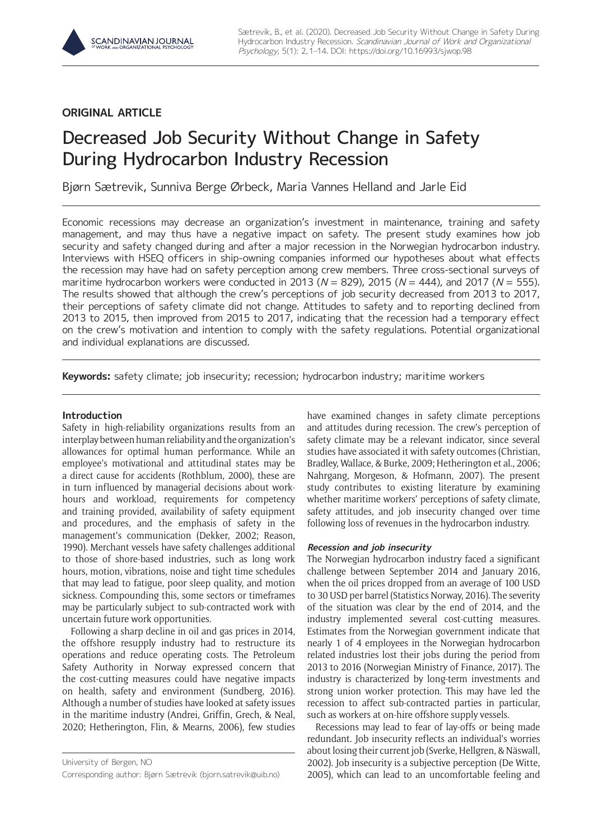# **ORIGINAL ARTICLE**

# Decreased Job Security Without Change in Safety During Hydrocarbon Industry Recession

Bjørn Sætrevik, Sunniva Berge Ørbeck, Maria Vannes Helland and Jarle Eid

Economic recessions may decrease an organization's investment in maintenance, training and safety management, and may thus have a negative impact on safety. The present study examines how job security and safety changed during and after a major recession in the Norwegian hydrocarbon industry. Interviews with HSEQ officers in ship-owning companies informed our hypotheses about what effects the recession may have had on safety perception among crew members. Three cross-sectional surveys of maritime hydrocarbon workers were conducted in 2013 ( $N = 829$ ), 2015 ( $N = 444$ ), and 2017 ( $N = 555$ ). The results showed that although the crew's perceptions of job security decreased from 2013 to 2017, their perceptions of safety climate did not change. Attitudes to safety and to reporting declined from 2013 to 2015, then improved from 2015 to 2017, indicating that the recession had a temporary effect on the crew's motivation and intention to comply with the safety regulations. Potential organizational and individual explanations are discussed.

**Keywords:** safety climate; job insecurity; recession; hydrocarbon industry; maritime workers

## **Introduction**

Safety in high-reliability organizations results from an interplay between human reliability and the organization's allowances for optimal human performance. While an employee's motivational and attitudinal states may be a direct cause for accidents (Rothblum, 2000), these are in turn influenced by managerial decisions about workhours and workload, requirements for competency and training provided, availability of safety equipment and procedures, and the emphasis of safety in the management's communication (Dekker, 2002; Reason, 1990). Merchant vessels have safety challenges additional to those of shore-based industries, such as long work hours, motion, vibrations, noise and tight time schedules that may lead to fatigue, poor sleep quality, and motion sickness. Compounding this, some sectors or timeframes may be particularly subject to sub-contracted work with uncertain future work opportunities.

Following a sharp decline in oil and gas prices in 2014, the offshore resupply industry had to restructure its operations and reduce operating costs. The Petroleum Safety Authority in Norway expressed concern that the cost-cutting measures could have negative impacts on health, safety and environment (Sundberg, 2016). Although a number of studies have looked at safety issues in the maritime industry (Andrei, Griffin, Grech, & Neal, 2020; Hetherington, Flin, & Mearns, 2006), few studies

University of Bergen, NO Corresponding author: Bjørn Sætrevik [\(bjorn.satrevik@uib.no\)](mailto:bjorn.satrevik@uib.no) have examined changes in safety climate perceptions and attitudes during recession. The crew's perception of safety climate may be a relevant indicator, since several studies have associated it with safety outcomes (Christian, Bradley, Wallace, & Burke, 2009; Hetherington et al., 2006; Nahrgang, Morgeson, & Hofmann, 2007). The present study contributes to existing literature by examining whether maritime workers' perceptions of safety climate, safety attitudes, and job insecurity changed over time following loss of revenues in the hydrocarbon industry.

# **Recession and job insecurity**

The Norwegian hydrocarbon industry faced a significant challenge between September 2014 and January 2016, when the oil prices dropped from an average of 100 USD to 30 USD per barrel (Statistics Norway, 2016). The severity of the situation was clear by the end of 2014, and the industry implemented several cost-cutting measures. Estimates from the Norwegian government indicate that nearly 1 of 4 employees in the Norwegian hydrocarbon related industries lost their jobs during the period from 2013 to 2016 (Norwegian Ministry of Finance, 2017). The industry is characterized by long-term investments and strong union worker protection. This may have led the recession to affect sub-contracted parties in particular, such as workers at on-hire offshore supply vessels.

Recessions may lead to fear of lay-offs or being made redundant. Job insecurity reflects an individual's worries about losing their current job (Sverke, Hellgren, & Näswall, 2002). Job insecurity is a subjective perception (De Witte, 2005), which can lead to an uncomfortable feeling and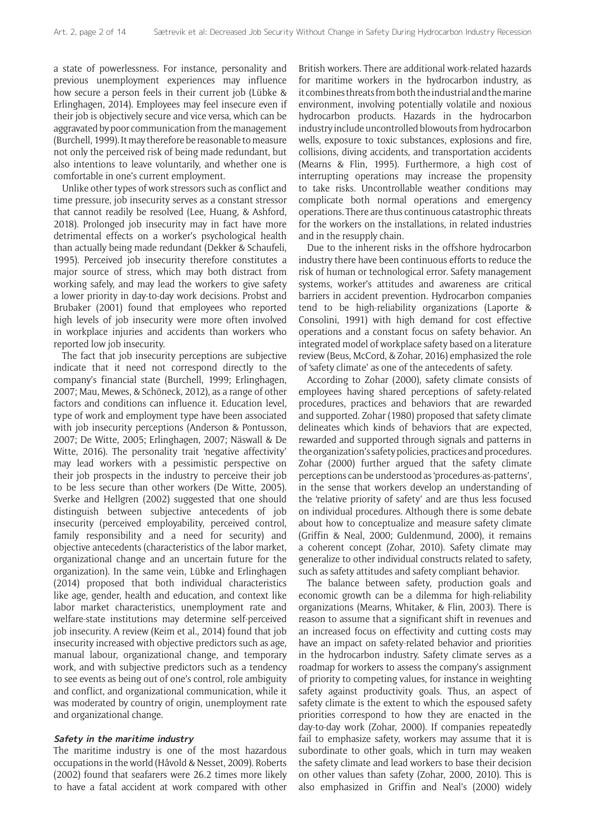a state of powerlessness. For instance, personality and previous unemployment experiences may influence how secure a person feels in their current job (Lübke & Erlinghagen, 2014). Employees may feel insecure even if their job is objectively secure and vice versa, which can be aggravated by poor communication from the management (Burchell, 1999). It may therefore be reasonable to measure not only the perceived risk of being made redundant, but also intentions to leave voluntarily, and whether one is comfortable in one's current employment.

Unlike other types of work stressors such as conflict and time pressure, job insecurity serves as a constant stressor that cannot readily be resolved (Lee, Huang, & Ashford, 2018). Prolonged job insecurity may in fact have more detrimental effects on a worker's psychological health than actually being made redundant (Dekker & Schaufeli, 1995). Perceived job insecurity therefore constitutes a major source of stress, which may both distract from working safely, and may lead the workers to give safety a lower priority in day-to-day work decisions. Probst and Brubaker (2001) found that employees who reported high levels of job insecurity were more often involved in workplace injuries and accidents than workers who reported low job insecurity.

The fact that job insecurity perceptions are subjective indicate that it need not correspond directly to the company's financial state (Burchell, 1999; Erlinghagen, 2007; Mau, Mewes, & Schöneck, 2012), as a range of other factors and conditions can influence it. Education level, type of work and employment type have been associated with job insecurity perceptions (Anderson & Pontusson, 2007; De Witte, 2005; Erlinghagen, 2007; Näswall & De Witte, 2016). The personality trait 'negative affectivity' may lead workers with a pessimistic perspective on their job prospects in the industry to perceive their job to be less secure than other workers (De Witte, 2005). Sverke and Hellgren (2002) suggested that one should distinguish between subjective antecedents of job insecurity (perceived employability, perceived control, family responsibility and a need for security) and objective antecedents (characteristics of the labor market, organizational change and an uncertain future for the organization). In the same vein, Lübke and Erlinghagen (2014) proposed that both individual characteristics like age, gender, health and education, and context like labor market characteristics, unemployment rate and welfare-state institutions may determine self-perceived job insecurity. A review (Keim et al., 2014) found that job insecurity increased with objective predictors such as age, manual labour, organizational change, and temporary work, and with subjective predictors such as a tendency to see events as being out of one's control, role ambiguity and conflict, and organizational communication, while it was moderated by country of origin, unemployment rate and organizational change.

#### **Safety in the maritime industry**

The maritime industry is one of the most hazardous occupations in the world (Håvold & Nesset, 2009). Roberts (2002) found that seafarers were 26.2 times more likely to have a fatal accident at work compared with other British workers. There are additional work-related hazards for maritime workers in the hydrocarbon industry, as it combines threats from both the industrial and the marine environment, involving potentially volatile and noxious hydrocarbon products. Hazards in the hydrocarbon industry include uncontrolled blowouts from hydrocarbon wells, exposure to toxic substances, explosions and fire, collisions, diving accidents, and transportation accidents (Mearns & Flin, 1995). Furthermore, a high cost of interrupting operations may increase the propensity to take risks. Uncontrollable weather conditions may complicate both normal operations and emergency operations. There are thus continuous catastrophic threats for the workers on the installations, in related industries and in the resupply chain.

Due to the inherent risks in the offshore hydrocarbon industry there have been continuous efforts to reduce the risk of human or technological error. Safety management systems, worker's attitudes and awareness are critical barriers in accident prevention. Hydrocarbon companies tend to be high-reliability organizations (Laporte & Consolini, 1991) with high demand for cost effective operations and a constant focus on safety behavior. An integrated model of workplace safety based on a literature review (Beus, McCord, & Zohar, 2016) emphasized the role of 'safety climate' as one of the antecedents of safety.

According to Zohar (2000), safety climate consists of employees having shared perceptions of safety-related procedures, practices and behaviors that are rewarded and supported. Zohar (1980) proposed that safety climate delineates which kinds of behaviors that are expected, rewarded and supported through signals and patterns in the organization's safety policies, practices and procedures. Zohar (2000) further argued that the safety climate perceptions can be understood as 'procedures-as-patterns', in the sense that workers develop an understanding of the 'relative priority of safety' and are thus less focused on individual procedures. Although there is some debate about how to conceptualize and measure safety climate (Griffin & Neal, 2000; Guldenmund, 2000), it remains a coherent concept (Zohar, 2010). Safety climate may generalize to other individual constructs related to safety, such as safety attitudes and safety compliant behavior.

The balance between safety, production goals and economic growth can be a dilemma for high-reliability organizations (Mearns, Whitaker, & Flin, 2003). There is reason to assume that a significant shift in revenues and an increased focus on effectivity and cutting costs may have an impact on safety-related behavior and priorities in the hydrocarbon industry. Safety climate serves as a roadmap for workers to assess the company's assignment of priority to competing values, for instance in weighting safety against productivity goals. Thus, an aspect of safety climate is the extent to which the espoused safety priorities correspond to how they are enacted in the day-to-day work (Zohar, 2000). If companies repeatedly fail to emphasize safety, workers may assume that it is subordinate to other goals, which in turn may weaken the safety climate and lead workers to base their decision on other values than safety (Zohar, 2000, 2010). This is also emphasized in Griffin and Neal's (2000) widely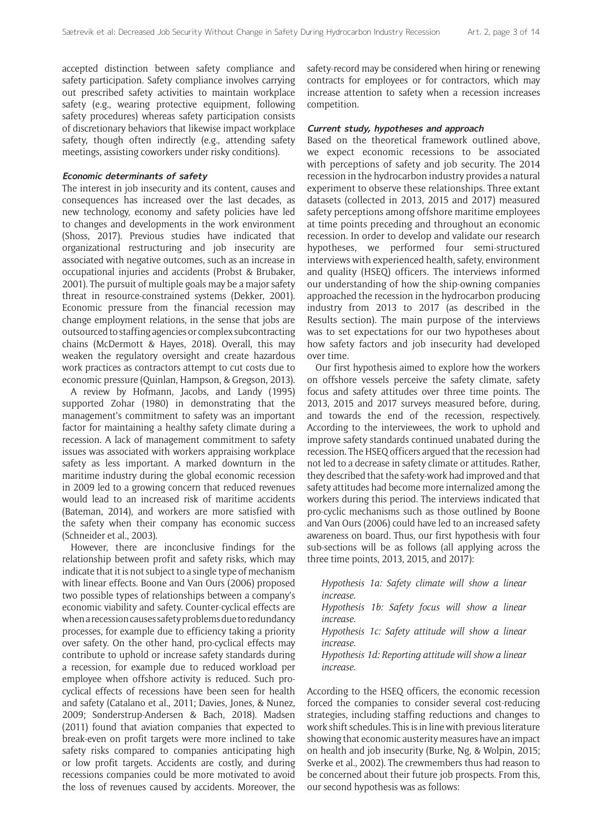accepted distinction between safety compliance and safety participation. Safety compliance involves carrying out prescribed safety activities to maintain workplace safety (e.g., wearing protective equipment, following safety procedures) whereas safety participation consists of discretionary behaviors that likewise impact workplace safety, though often indirectly (e.g., attending safety meetings, assisting coworkers under risky conditions).

#### **Economic determinants of safety**

The interest in job insecurity and its content, causes and consequences has increased over the last decades, as new technology, economy and safety policies have led to changes and developments in the work environment (Shoss, 2017). Previous studies have indicated that organizational restructuring and job insecurity are associated with negative outcomes, such as an increase in occupational injuries and accidents (Probst & Brubaker, 2001). The pursuit of multiple goals may be a major safety threat in resource-constrained systems (Dekker, 2001). Economic pressure from the financial recession may change employment relations, in the sense that jobs are outsourced to staffing agencies or complex subcontracting chains (McDermott & Hayes, 2018). Overall, this may weaken the regulatory oversight and create hazardous work practices as contractors attempt to cut costs due to economic pressure (Quinlan, Hampson, & Gregson, 2013).

A review by Hofmann, Jacobs, and Landy (1995) supported Zohar (1980) in demonstrating that the management's commitment to safety was an important factor for maintaining a healthy safety climate during a recession. A lack of management commitment to safety issues was associated with workers appraising workplace safety as less important. A marked downturn in the maritime industry during the global economic recession in 2009 led to a growing concern that reduced revenues would lead to an increased risk of maritime accidents (Bateman, 2014), and workers are more satisfied with the safety when their company has economic success (Schneider et al., 2003).

However, there are inconclusive findings for the relationship between profit and safety risks, which may indicate that it is not subject to a single type of mechanism with linear effects. Boone and Van Ours (2006) proposed two possible types of relationships between a company's economic viability and safety. Counter-cyclical effects are when a recession causes safety problems due to redundancy processes, for example due to efficiency taking a priority over safety. On the other hand, pro-cyclical effects may contribute to uphold or increase safety standards during a recession, for example due to reduced workload per employee when offshore activity is reduced. Such procyclical effects of recessions have been seen for health and safety (Catalano et al., 2011; Davies, Jones, & Nunez, 2009; Sønderstrup-Andersen & Bach, 2018). Madsen (2011) found that aviation companies that expected to break-even on profit targets were more inclined to take safety risks compared to companies anticipating high or low profit targets. Accidents are costly, and during recessions companies could be more motivated to avoid the loss of revenues caused by accidents. Moreover, the safety-record may be considered when hiring or renewing contracts for employees or for contractors, which may increase attention to safety when a recession increases competition.

#### **Current study, hypotheses and approach**

Based on the theoretical framework outlined above, we expect economic recessions to be associated with perceptions of safety and job security. The 2014 recession in the hydrocarbon industry provides a natural experiment to observe these relationships. Three extant datasets (collected in 2013, 2015 and 2017) measured safety perceptions among offshore maritime employees at time points preceding and throughout an economic recession. In order to develop and validate our research hypotheses, we performed four semi-structured interviews with experienced health, safety, environment and quality (HSEQ) officers. The interviews informed our understanding of how the ship-owning companies approached the recession in the hydrocarbon producing industry from 2013 to 2017 (as described in the Results section). The main purpose of the interviews was to set expectations for our two hypotheses about how safety factors and job insecurity had developed over time.

Our first hypothesis aimed to explore how the workers on offshore vessels perceive the safety climate, safety focus and safety attitudes over three time points. The 2013, 2015 and 2017 surveys measured before, during, and towards the end of the recession, respectively. According to the interviewees, the work to uphold and improve safety standards continued unabated during the recession. The HSEQ officers argued that the recession had not led to a decrease in safety climate or attitudes. Rather, they described that the safety-work had improved and that safety attitudes had become more internalized among the workers during this period. The interviews indicated that pro-cyclic mechanisms such as those outlined by Boone and Van Ours (2006) could have led to an increased safety awareness on board. Thus, our first hypothesis with four sub-sections will be as follows (all applying across the three time points, 2013, 2015, and 2017):

*Hypothesis 1a: Safety climate will show a linear increase. Hypothesis 1b: Safety focus will show a linear increase. Hypothesis 1c: Safety attitude will show a linear increase. Hypothesis 1d: Reporting attitude will show a linear increase.*

According to the HSEQ officers, the economic recession forced the companies to consider several cost-reducing strategies, including staffing reductions and changes to work shift schedules. This is in line with previous literature showing that economic austerity measures have an impact on health and job insecurity (Burke, Ng, & Wolpin, 2015; Sverke et al., 2002). The crewmembers thus had reason to be concerned about their future job prospects. From this, our second hypothesis was as follows: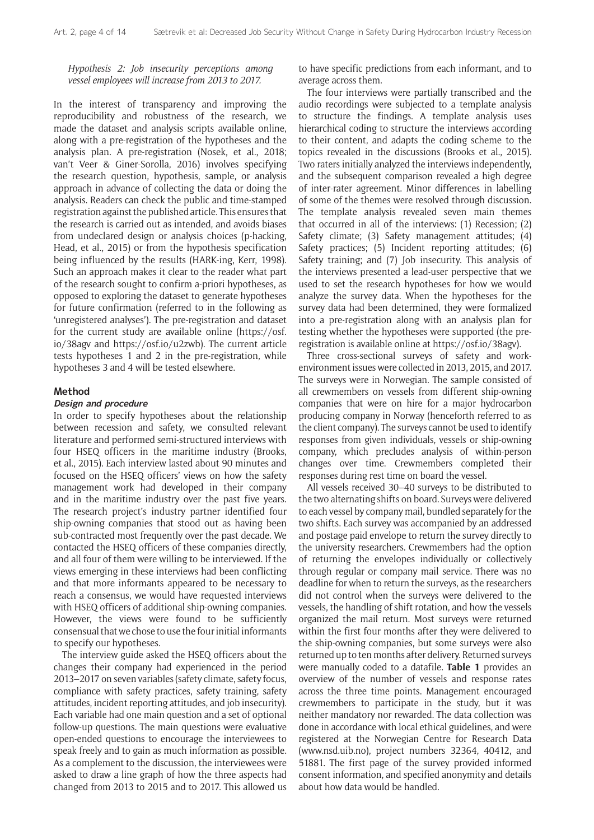*Hypothesis 2: Job insecurity perceptions among vessel employees will increase from 2013 to 2017.*

In the interest of transparency and improving the reproducibility and robustness of the research, we made the dataset and analysis scripts available online, along with a pre-registration of the hypotheses and the analysis plan. A pre-registration (Nosek, et al., 2018; van't Veer & Giner-Sorolla, 2016) involves specifying the research question, hypothesis, sample, or analysis approach in advance of collecting the data or doing the analysis. Readers can check the public and time-stamped registration against the published article. This ensures that the research is carried out as intended, and avoids biases from undeclared design or analysis choices (p-hacking, Head, et al., 2015) or from the hypothesis specification being influenced by the results (HARK-ing, Kerr, 1998). Such an approach makes it clear to the reader what part of the research sought to confirm a-priori hypotheses, as opposed to exploring the dataset to generate hypotheses for future confirmation (referred to in the following as 'unregistered analyses'). The pre-registration and dataset for the current study are available online ([https://osf.](https://osf.io/38agv) [io/38agv](https://osf.io/38agv) and [https://osf.io/u2zwb\)](https://osf.io/u2zwb). The current article tests hypotheses 1 and 2 in the pre-registration, while hypotheses 3 and 4 will be tested elsewhere.

#### **Method**

#### **Design and procedure**

In order to specify hypotheses about the relationship between recession and safety, we consulted relevant literature and performed semi-structured interviews with four HSEQ officers in the maritime industry (Brooks, et al., 2015). Each interview lasted about 90 minutes and focused on the HSEQ officers' views on how the safety management work had developed in their company and in the maritime industry over the past five years. The research project's industry partner identified four ship-owning companies that stood out as having been sub-contracted most frequently over the past decade. We contacted the HSEQ officers of these companies directly, and all four of them were willing to be interviewed. If the views emerging in these interviews had been conflicting and that more informants appeared to be necessary to reach a consensus, we would have requested interviews with HSEQ officers of additional ship-owning companies. However, the views were found to be sufficiently consensual that we chose to use the four initial informants to specify our hypotheses.

The interview guide asked the HSEQ officers about the changes their company had experienced in the period 2013–2017 on seven variables (safety climate, safety focus, compliance with safety practices, safety training, safety attitudes, incident reporting attitudes, and job insecurity). Each variable had one main question and a set of optional follow-up questions. The main questions were evaluative open-ended questions to encourage the interviewees to speak freely and to gain as much information as possible. As a complement to the discussion, the interviewees were asked to draw a line graph of how the three aspects had changed from 2013 to 2015 and to 2017. This allowed us to have specific predictions from each informant, and to average across them.

The four interviews were partially transcribed and the audio recordings were subjected to a template analysis to structure the findings. A template analysis uses hierarchical coding to structure the interviews according to their content, and adapts the coding scheme to the topics revealed in the discussions (Brooks et al., 2015). Two raters initially analyzed the interviews independently, and the subsequent comparison revealed a high degree of inter-rater agreement. Minor differences in labelling of some of the themes were resolved through discussion. The template analysis revealed seven main themes that occurred in all of the interviews: (1) Recession; (2) Safety climate; (3) Safety management attitudes; (4) Safety practices; (5) Incident reporting attitudes; (6) Safety training; and (7) Job insecurity. This analysis of the interviews presented a lead-user perspective that we used to set the research hypotheses for how we would analyze the survey data. When the hypotheses for the survey data had been determined, they were formalized into a pre-registration along with an analysis plan for testing whether the hypotheses were supported (the preregistration is available online at [https://osf.io/38agv\)](https://osf.io/38agv).

Three cross-sectional surveys of safety and workenvironment issues were collected in 2013, 2015, and 2017. The surveys were in Norwegian. The sample consisted of all crewmembers on vessels from different ship-owning companies that were on hire for a major hydrocarbon producing company in Norway (henceforth referred to as the client company). The surveys cannot be used to identify responses from given individuals, vessels or ship-owning company, which precludes analysis of within-person changes over time. Crewmembers completed their responses during rest time on board the vessel.

All vessels received 30–40 surveys to be distributed to the two alternating shifts on board. Surveys were delivered to each vessel by company mail, bundled separately for the two shifts. Each survey was accompanied by an addressed and postage paid envelope to return the survey directly to the university researchers. Crewmembers had the option of returning the envelopes individually or collectively through regular or company mail service. There was no deadline for when to return the surveys, as the researchers did not control when the surveys were delivered to the vessels, the handling of shift rotation, and how the vessels organized the mail return. Most surveys were returned within the first four months after they were delivered to the ship-owning companies, but some surveys were also returned up to ten months after delivery. Returned surveys were manually coded to a datafile. **Table 1** provides an overview of the number of vessels and response rates across the three time points. Management encouraged crewmembers to participate in the study, but it was neither mandatory nor rewarded. The data collection was done in accordance with local ethical guidelines, and were registered at the Norwegian Centre for Research Data [\(www.nsd.uib.no\)](http://www.nsd.uib.no), project numbers 32364, 40412, and 51881. The first page of the survey provided informed consent information, and specified anonymity and details about how data would be handled.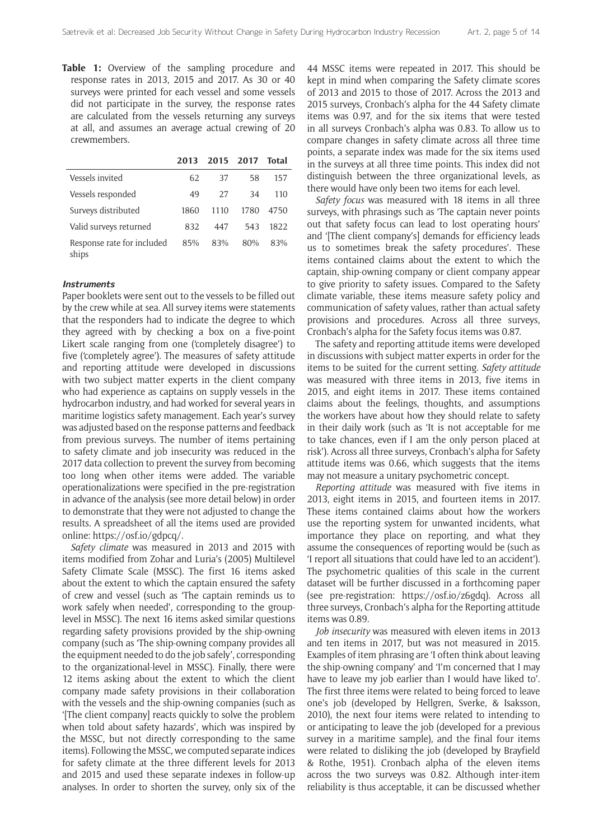**Table 1:** Overview of the sampling procedure and response rates in 2013, 2015 and 2017. As 30 or 40 surveys were printed for each vessel and some vessels did not participate in the survey, the response rates are calculated from the vessels returning any surveys at all, and assumes an average actual crewing of 20 crewmembers.

|                                     | 2013 | 2015 2017 |      | Total |
|-------------------------------------|------|-----------|------|-------|
| Vessels invited                     | 62   | 37        | 58   | 157   |
| Vessels responded                   | 49   | 27        | 34   | 110   |
| Surveys distributed                 | 1860 | 1110      | 1780 | 4750  |
| Valid surveys returned              | 832  | 447       | 543  | 1822  |
| Response rate for included<br>ships | 85%  | 83%       | 80%  | 83%   |

#### **Instruments**

Paper booklets were sent out to the vessels to be filled out by the crew while at sea. All survey items were statements that the responders had to indicate the degree to which they agreed with by checking a box on a five-point Likert scale ranging from one ('completely disagree') to five ('completely agree'). The measures of safety attitude and reporting attitude were developed in discussions with two subject matter experts in the client company who had experience as captains on supply vessels in the hydrocarbon industry, and had worked for several years in maritime logistics safety management. Each year's survey was adjusted based on the response patterns and feedback from previous surveys. The number of items pertaining to safety climate and job insecurity was reduced in the 2017 data collection to prevent the survey from becoming too long when other items were added. The variable operationalizations were specified in the pre-registration in advance of the analysis (see more detail below) in order to demonstrate that they were not adjusted to change the results. A spreadsheet of all the items used are provided online: [https://osf.io/gdpcq/.](https://osf.io/gdpcq/)

*Safety climate* was measured in 2013 and 2015 with items modified from Zohar and Luria's (2005) Multilevel Safety Climate Scale (MSSC). The first 16 items asked about the extent to which the captain ensured the safety of crew and vessel (such as 'The captain reminds us to work safely when needed', corresponding to the grouplevel in MSSC). The next 16 items asked similar questions regarding safety provisions provided by the ship-owning company (such as 'The ship-owning company provides all the equipment needed to do the job safely', corresponding to the organizational-level in MSSC). Finally, there were 12 items asking about the extent to which the client company made safety provisions in their collaboration with the vessels and the ship-owning companies (such as '[The client company] reacts quickly to solve the problem when told about safety hazards', which was inspired by the MSSC, but not directly corresponding to the same items). Following the MSSC, we computed separate indices for safety climate at the three different levels for 2013 and 2015 and used these separate indexes in follow-up analyses. In order to shorten the survey, only six of the 44 MSSC items were repeated in 2017. This should be kept in mind when comparing the Safety climate scores of 2013 and 2015 to those of 2017. Across the 2013 and 2015 surveys, Cronbach's alpha for the 44 Safety climate items was 0.97, and for the six items that were tested in all surveys Cronbach's alpha was 0.83. To allow us to compare changes in safety climate across all three time points, a separate index was made for the six items used in the surveys at all three time points. This index did not distinguish between the three organizational levels, as there would have only been two items for each level.

*Safety focus* was measured with 18 items in all three surveys, with phrasings such as 'The captain never points out that safety focus can lead to lost operating hours' and '[The client company's] demands for efficiency leads us to sometimes break the safety procedures'. These items contained claims about the extent to which the captain, ship-owning company or client company appear to give priority to safety issues. Compared to the Safety climate variable, these items measure safety policy and communication of safety values, rather than actual safety provisions and procedures. Across all three surveys, Cronbach's alpha for the Safety focus items was 0.87.

The safety and reporting attitude items were developed in discussions with subject matter experts in order for the items to be suited for the current setting. *Safety attitude* was measured with three items in 2013, five items in 2015, and eight items in 2017. These items contained claims about the feelings, thoughts, and assumptions the workers have about how they should relate to safety in their daily work (such as 'It is not acceptable for me to take chances, even if I am the only person placed at risk'). Across all three surveys, Cronbach's alpha for Safety attitude items was 0.66, which suggests that the items may not measure a unitary psychometric concept.

*Reporting attitude* was measured with five items in 2013, eight items in 2015, and fourteen items in 2017. These items contained claims about how the workers use the reporting system for unwanted incidents, what importance they place on reporting, and what they assume the consequences of reporting would be (such as 'I report all situations that could have led to an accident'). The psychometric qualities of this scale in the current dataset will be further discussed in a forthcoming paper (see pre-registration: [https://osf.io/z6gdq\)](https://osf.io/z6gdq). Across all three surveys, Cronbach's alpha for the Reporting attitude items was 0.89.

*Job insecurity* was measured with eleven items in 2013 and ten items in 2017, but was not measured in 2015. Examples of item phrasing are 'I often think about leaving the ship-owning company' and 'I'm concerned that I may have to leave my job earlier than I would have liked to'. The first three items were related to being forced to leave one's job (developed by Hellgren, Sverke, & Isaksson, 2010), the next four items were related to intending to or anticipating to leave the job (developed for a previous survey in a maritime sample), and the final four items were related to disliking the job (developed by Brayfield & Rothe, 1951). Cronbach alpha of the eleven items across the two surveys was 0.82. Although inter-item reliability is thus acceptable, it can be discussed whether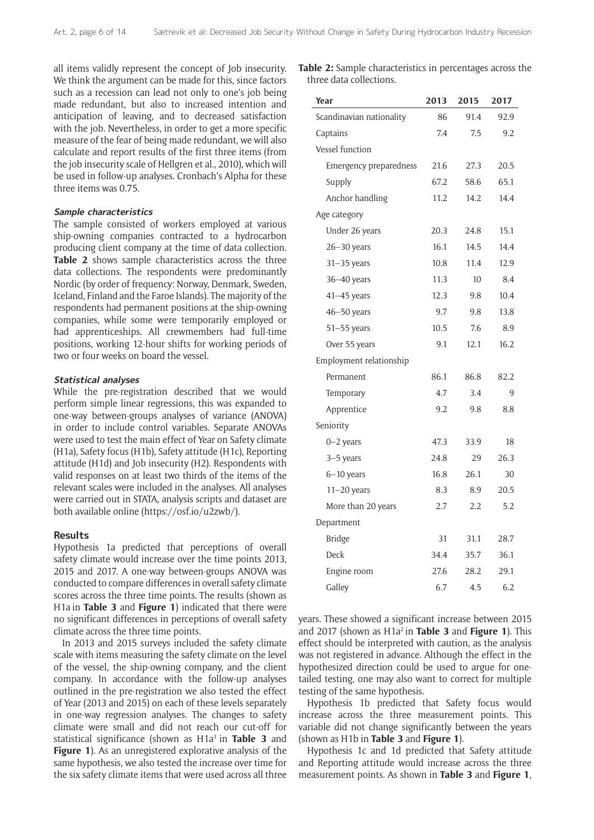all items validly represent the concept of Job insecurity. T We think the argument can be made for this, since factors such as a recession can lead not only to one's job being made redundant, but also to increased intention and anticipation of leaving, and to decreased satisfaction with the job. Nevertheless, in order to get a more specific measure of the fear of being made redundant, we will also calculate and report results of the first three items (from the job insecurity scale of Hellgren et al., 2010), which will be used in follow-up analyses. Cronbach's Alpha for these three items was 0.75.

#### **Sample characteristics**

The sample consisted of workers employed at various ship-owning companies contracted to a hydrocarbon producing client company at the time of data collection. **Table 2** shows sample characteristics across the three data collections. The respondents were predominantly Nordic (by order of frequency: Norway, Denmark, Sweden, Iceland, Finland and the Faroe Islands). The majority of the respondents had permanent positions at the ship-owning companies, while some were temporarily employed or had apprenticeships. All crewmembers had full-time positions, working 12-hour shifts for working periods of two or four weeks on board the vessel.

#### **Statistical analyses**

While the pre-registration described that we would perform simple linear regressions, this was expanded to one-way between-groups analyses of variance (ANOVA) in order to include control variables. Separate ANOVAs were used to test the main effect of Year on Safety climate (H1a), Safety focus (H1b), Safety attitude (H1c), Reporting attitude (H1d) and Job insecurity (H2). Respondents with valid responses on at least two thirds of the items of the relevant scales were included in the analyses. All analyses were carried out in STATA, analysis scripts and dataset are both available online ([https://osf.io/u2zwb/\)](https://osf.io/u2zwb/).

#### **Results**

Hypothesis 1a predicted that perceptions of overall safety climate would increase over the time points 2013, 2015 and 2017. A one-way between-groups ANOVA was conducted to compare differences in overall safety climate scores across the three time points. The results (shown as H1a in **Table 3** and **Figure 1**) indicated that there were no significant differences in perceptions of overall safety climate across the three time points.

In 2013 and 2015 surveys included the safety climate scale with items measuring the safety climate on the level of the vessel, the ship-owning company, and the client company. In accordance with the follow-up analyses outlined in the pre-registration we also tested the effect of Year (2013 and 2015) on each of these levels separately in one-way regression analyses. The changes to safety climate were small and did not reach our cut-off for statistical significance (shown as H<sub>1a<sup>1</sup></sub> in **Table 3** and **Figure 1**). As an unregistered explorative analysis of the same hypothesis, we also tested the increase over time for the six safety climate items that were used across all three

| Table 2: Sample characteristics in percentages across the |  |
|-----------------------------------------------------------|--|
| three data collections.                                   |  |

| Year                     | 2013 | 2015 | 2017 |
|--------------------------|------|------|------|
| Scandinavian nationality | 86   | 91.4 | 92.9 |
| Captains                 | 7.4  | 7.5  | 9.2  |
| Vessel function          |      |      |      |
| Emergency preparedness   | 21.6 | 27.3 | 20.5 |
| Supply                   | 67.2 | 58.6 | 65.1 |
| Anchor handling          | 11.2 | 14.2 | 14.4 |
| Age category             |      |      |      |
| Under 26 years           | 20.3 | 24.8 | 15.1 |
| $26 - 30$ years          | 16.1 | 14.5 | 14.4 |
| $31 - 35$ years          | 10.8 | 11.4 | 12.9 |
| $36 - 40$ years          | 11.3 | 10   | 8.4  |
| 41-45 years              | 12.3 | 9.8  | 10.4 |
| $46 - 50$ years          | 9.7  | 9.8  | 13.8 |
| $51 - 55$ years          | 10.5 | 7.6  | 8.9  |
| Over 55 years            | 9.1  | 12.1 | 16.2 |
| Employment relationship  |      |      |      |
| Permanent                | 86.1 | 86.8 | 82.2 |
| Temporary                | 4.7  | 3.4  | 9    |
| Apprentice               | 9.2  | 9.8  | 8.8  |
| Seniority                |      |      |      |
| $0-2$ years              | 47.3 | 33.9 | 18   |
| $3-5$ years              | 24.8 | 29   | 26.3 |
| $6 - 10$ years           | 16.8 | 26.1 | 30   |
| $11-20$ years            | 8.3  | 8.9  | 20.5 |
| More than 20 years       | 2.7  | 2.2  | 5.2  |
| Department               |      |      |      |
| <b>Bridge</b>            | 31   | 31.1 | 28.7 |
| Deck                     | 34.4 | 35.7 | 36.1 |
| Engine room              | 27.6 | 28.2 | 29.1 |
| Galley                   | 6.7  | 4.5  | 6.2  |

years. These showed a significant increase between 2015 and 2017 (shown as H1a<sup>2</sup> in **Table 3** and **Figure 1**). This effect should be interpreted with caution, as the analysis was not registered in advance. Although the effect in the hypothesized direction could be used to argue for onetailed testing, one may also want to correct for multiple testing of the same hypothesis.

Hypothesis 1b predicted that Safety focus would increase across the three measurement points. This variable did not change significantly between the years (shown as H1b in **Table 3** and **Figure 1**).

Hypothesis 1c and 1d predicted that Safety attitude and Reporting attitude would increase across the three measurement points. As shown in **Table 3** and **Figure 1**,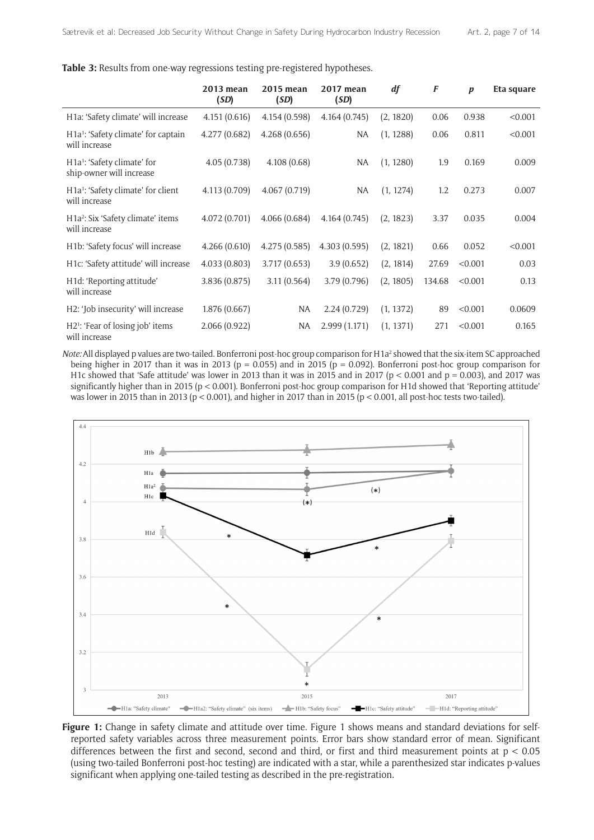|  |  |  | Table 3: Results from one-way regressions testing pre-registered hypotheses. |
|--|--|--|------------------------------------------------------------------------------|
|  |  |  |                                                                              |

|                                                                                 | 2013 mean<br>(SD) | 2015 mean<br>(SD) | 2017 mean<br>(SD) | df        | F      | $\boldsymbol{p}$ | Eta square |
|---------------------------------------------------------------------------------|-------------------|-------------------|-------------------|-----------|--------|------------------|------------|
| H1a: 'Safety climate' will increase                                             | 4.151(0.616)      | 4.154 (0.598)     | 4.164(0.745)      | (2, 1820) | 0.06   | 0.938            | < 0.001    |
| H <sub>1a</sub> <sup>1</sup> : 'Safety climate' for captain<br>will increase    | 4.277 (0.682)     | 4.268(0.656)      | NA                | (1, 1288) | 0.06   | 0.811            | < 0.001    |
| H <sub>1a</sub> <sup>1</sup> : 'Safety climate' for<br>ship-owner will increase | 4.05(0.738)       | 4.108(0.68)       | NA                | (1, 1280) | 1.9    | 0.169            | 0.009      |
| H <sub>1a</sub> <sup>1</sup> : 'Safety climate' for client<br>will increase     | 4.113 (0.709)     | 4.067(0.719)      | NA                | (1, 1274) | 1.2    | 0.273            | 0.007      |
| H <sub>1a</sub> <sup>2</sup> : Six 'Safety climate' items<br>will increase      | 4.072 (0.701)     | 4.066(0.684)      | 4.164(0.745)      | (2, 1823) | 3.37   | 0.035            | 0.004      |
| H1b: 'Safety focus' will increase                                               | 4.266(0.610)      | 4.275(0.585)      | 4.303(0.595)      | (2, 1821) | 0.66   | 0.052            | < 0.001    |
| H1c: 'Safety attitude' will increase                                            | 4.033(0.803)      | 3.717 (0.653)     | 3.9(0.652)        | (2, 1814) | 27.69  | < 0.001          | 0.03       |
| H1d: 'Reporting attitude'<br>will increase                                      | 3.836 (0.875)     | 3.11(0.564)       | 3.79(0.796)       | (2, 1805) | 134.68 | < 0.001          | 0.13       |
| H2: 'Job insecurity' will increase                                              | 1.876(0.667)      | NA                | 2.24(0.729)       | (1, 1372) | 89     | < 0.001          | 0.0609     |
| H2 <sup>1</sup> : 'Fear of losing job' items<br>will increase                   | 2.066(0.922)      | <b>NA</b>         | 2.999(1.171)      | (1, 1371) | 271    | < 0.001          | 0.165      |

Note: All displayed p values are two-tailed. Bonferroni post-hoc group comparison for H1a<sup>2</sup> showed that the six-item SC approached being higher in 2017 than it was in 2013 (p = 0.055) and in 2015 (p = 0.092). Bonferroni post-hoc group comparison for H1c showed that 'Safe attitude' was lower in 2013 than it was in 2015 and in 2017 ( $p < 0.001$  and  $p = 0.003$ ), and 2017 was significantly higher than in 2015 (p < 0.001). Bonferroni post-hoc group comparison for H1d showed that 'Reporting attitude' was lower in 2015 than in 2013 (p < 0.001), and higher in 2017 than in 2015 (p < 0.001, all post-hoc tests two-tailed).



**Figure 1:** Change in safety climate and attitude over time. Figure 1 shows means and standard deviations for selfreported safety variables across three measurement points. Error bars show standard error of mean. Significant differences between the first and second, second and third, or first and third measurement points at  $p < 0.05$ (using two-tailed Bonferroni post-hoc testing) are indicated with a star, while a parenthesized star indicates p-values significant when applying one-tailed testing as described in the pre-registration.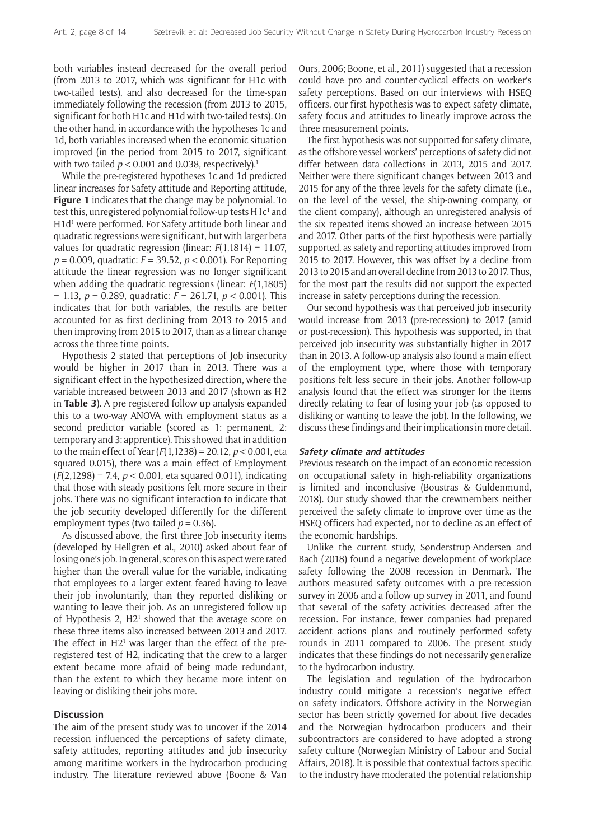both variables instead decreased for the overall period (from 2013 to 2017, which was significant for H1c with two-tailed tests), and also decreased for the time-span immediately following the recession (from 2013 to 2015, significant for both H1c and H1d with two-tailed tests). On the other hand, in accordance with the hypotheses 1c and 1d, both variables increased when the economic situation improved (in the period from 2015 to 2017, significant with two-tailed  $p < 0.001$  and 0.038, respectively).<sup>1</sup>

While the pre-registered hypotheses 1c and 1d predicted linear increases for Safety attitude and Reporting attitude, **Figure 1** indicates that the change may be polynomial. To test this, unregistered polynomial follow-up tests  $H1c<sup>1</sup>$  and H1d<sup>1</sup> were performed. For Safety attitude both linear and quadratic regressions were significant, but with larger beta values for quadratic regression (linear: *F*(1,1814) = 11.07, *p* = 0.009, quadratic: *F* = 39.52, *p* < 0.001). For Reporting attitude the linear regression was no longer significant when adding the quadratic regressions (linear: *F*(1,1805) = 1.13, *p* = 0.289, quadratic: *F* = 261.71, *p* < 0.001). This indicates that for both variables, the results are better accounted for as first declining from 2013 to 2015 and then improving from 2015 to 2017, than as a linear change across the three time points.

Hypothesis 2 stated that perceptions of Job insecurity would be higher in 2017 than in 2013. There was a significant effect in the hypothesized direction, where the variable increased between 2013 and 2017 (shown as H2 in **Table 3**). A pre-registered follow-up analysis expanded this to a two-way ANOVA with employment status as a second predictor variable (scored as 1: permanent, 2: temporary and 3: apprentice). This showed that in addition to the main effect of Year (*F*(1,1238) = 20.12, *p* < 0.001, eta squared 0.015), there was a main effect of Employment (*F*(2,1298) = 7.4, *p* < 0.001, eta squared 0.011), indicating that those with steady positions felt more secure in their jobs. There was no significant interaction to indicate that the job security developed differently for the different employment types (two-tailed  $p = 0.36$ ).

As discussed above, the first three Job insecurity items (developed by Hellgren et al., 2010) asked about fear of losing one's job. In general, scores on this aspect were rated higher than the overall value for the variable, indicating that employees to a larger extent feared having to leave their job involuntarily, than they reported disliking or wanting to leave their job. As an unregistered follow-up of Hypothesis 2, H2<sup>1</sup> showed that the average score on these three items also increased between 2013 and 2017. The effect in  $H2<sup>1</sup>$  was larger than the effect of the preregistered test of H2, indicating that the crew to a larger extent became more afraid of being made redundant, than the extent to which they became more intent on leaving or disliking their jobs more.

#### **Discussion**

The aim of the present study was to uncover if the 2014 recession influenced the perceptions of safety climate, safety attitudes, reporting attitudes and job insecurity among maritime workers in the hydrocarbon producing industry. The literature reviewed above (Boone & Van Ours, 2006; Boone, et al., 2011) suggested that a recession could have pro and counter-cyclical effects on worker's safety perceptions. Based on our interviews with HSEQ officers, our first hypothesis was to expect safety climate, safety focus and attitudes to linearly improve across the three measurement points.

The first hypothesis was not supported for safety climate, as the offshore vessel workers' perceptions of safety did not differ between data collections in 2013, 2015 and 2017. Neither were there significant changes between 2013 and 2015 for any of the three levels for the safety climate (i.e., on the level of the vessel, the ship-owning company, or the client company), although an unregistered analysis of the six repeated items showed an increase between 2015 and 2017. Other parts of the first hypothesis were partially supported, as safety and reporting attitudes improved from 2015 to 2017. However, this was offset by a decline from 2013 to 2015 and an overall decline from 2013 to 2017. Thus, for the most part the results did not support the expected increase in safety perceptions during the recession.

Our second hypothesis was that perceived job insecurity would increase from 2013 (pre-recession) to 2017 (amid or post-recession). This hypothesis was supported, in that perceived job insecurity was substantially higher in 2017 than in 2013. A follow-up analysis also found a main effect of the employment type, where those with temporary positions felt less secure in their jobs. Another follow-up analysis found that the effect was stronger for the items directly relating to fear of losing your job (as opposed to disliking or wanting to leave the job). In the following, we discuss these findings and their implications in more detail.

#### **Safety climate and attitudes**

Previous research on the impact of an economic recession on occupational safety in high-reliability organizations is limited and inconclusive (Boustras & Guldenmund, 2018). Our study showed that the crewmembers neither perceived the safety climate to improve over time as the HSEQ officers had expected, nor to decline as an effect of the economic hardships.

Unlike the current study, Sønderstrup-Andersen and Bach (2018) found a negative development of workplace safety following the 2008 recession in Denmark. The authors measured safety outcomes with a pre-recession survey in 2006 and a follow-up survey in 2011, and found that several of the safety activities decreased after the recession. For instance, fewer companies had prepared accident actions plans and routinely performed safety rounds in 2011 compared to 2006. The present study indicates that these findings do not necessarily generalize to the hydrocarbon industry.

The legislation and regulation of the hydrocarbon industry could mitigate a recession's negative effect on safety indicators. Offshore activity in the Norwegian sector has been strictly governed for about five decades and the Norwegian hydrocarbon producers and their subcontractors are considered to have adopted a strong safety culture (Norwegian Ministry of Labour and Social Affairs, 2018). It is possible that contextual factors specific to the industry have moderated the potential relationship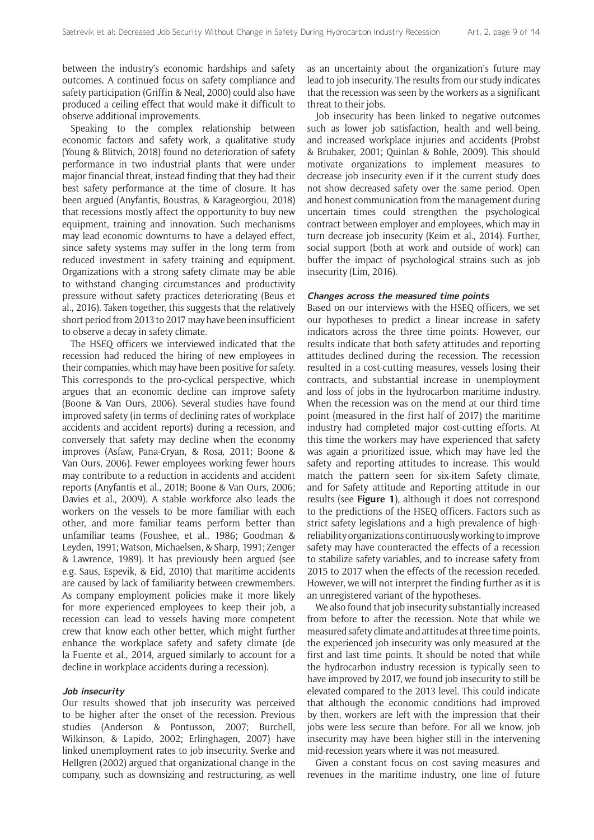between the industry's economic hardships and safety outcomes. A continued focus on safety compliance and safety participation (Griffin & Neal, 2000) could also have produced a ceiling effect that would make it difficult to observe additional improvements.

Speaking to the complex relationship between economic factors and safety work, a qualitative study (Young & Blitvich, 2018) found no deterioration of safety performance in two industrial plants that were under major financial threat, instead finding that they had their best safety performance at the time of closure. It has been argued (Anyfantis, Boustras, & Karageorgiou, 2018) that recessions mostly affect the opportunity to buy new equipment, training and innovation. Such mechanisms may lead economic downturns to have a delayed effect, since safety systems may suffer in the long term from reduced investment in safety training and equipment. Organizations with a strong safety climate may be able to withstand changing circumstances and productivity pressure without safety practices deteriorating (Beus et al., 2016). Taken together, this suggests that the relatively short period from 2013 to 2017 may have been insufficient to observe a decay in safety climate.

The HSEQ officers we interviewed indicated that the recession had reduced the hiring of new employees in their companies, which may have been positive for safety. This corresponds to the pro-cyclical perspective, which argues that an economic decline can improve safety (Boone & Van Ours, 2006). Several studies have found improved safety (in terms of declining rates of workplace accidents and accident reports) during a recession, and conversely that safety may decline when the economy improves (Asfaw, Pana-Cryan, & Rosa, 2011; Boone & Van Ours, 2006). Fewer employees working fewer hours may contribute to a reduction in accidents and accident reports (Anyfantis et al., 2018; Boone & Van Ours, 2006; Davies et al., 2009). A stable workforce also leads the workers on the vessels to be more familiar with each other, and more familiar teams perform better than unfamiliar teams (Foushee, et al., 1986; Goodman & Leyden, 1991; Watson, Michaelsen, & Sharp, 1991; Zenger & Lawrence, 1989). It has previously been argued (see e.g. Saus, Espevik, & Eid, 2010) that maritime accidents are caused by lack of familiarity between crewmembers. As company employment policies make it more likely for more experienced employees to keep their job, a recession can lead to vessels having more competent crew that know each other better, which might further enhance the workplace safety and safety climate (de la Fuente et al., 2014, argued similarly to account for a decline in workplace accidents during a recession).

#### **Job insecurity**

Our results showed that job insecurity was perceived to be higher after the onset of the recession. Previous studies (Anderson & Pontusson, 2007; Burchell, Wilkinson, & Lapido, 2002; Erlinghagen, 2007) have linked unemployment rates to job insecurity. Sverke and Hellgren (2002) argued that organizational change in the company, such as downsizing and restructuring, as well as an uncertainty about the organization's future may lead to job insecurity. The results from our study indicates that the recession was seen by the workers as a significant threat to their jobs.

Job insecurity has been linked to negative outcomes such as lower job satisfaction, health and well-being, and increased workplace injuries and accidents (Probst & Brubaker, 2001; Quinlan & Bohle, 2009). This should motivate organizations to implement measures to decrease job insecurity even if it the current study does not show decreased safety over the same period. Open and honest communication from the management during uncertain times could strengthen the psychological contract between employer and employees, which may in turn decrease job insecurity (Keim et al., 2014). Further, social support (both at work and outside of work) can buffer the impact of psychological strains such as job insecurity (Lim, 2016).

#### **Changes across the measured time points**

Based on our interviews with the HSEQ officers, we set our hypotheses to predict a linear increase in safety indicators across the three time points. However, our results indicate that both safety attitudes and reporting attitudes declined during the recession. The recession resulted in a cost-cutting measures, vessels losing their contracts, and substantial increase in unemployment and loss of jobs in the hydrocarbon maritime industry. When the recession was on the mend at our third time point (measured in the first half of 2017) the maritime industry had completed major cost-cutting efforts. At this time the workers may have experienced that safety was again a prioritized issue, which may have led the safety and reporting attitudes to increase. This would match the pattern seen for six-item Safety climate, and for Safety attitude and Reporting attitude in our results (see **Figure 1**), although it does not correspond to the predictions of the HSEQ officers. Factors such as strict safety legislations and a high prevalence of highreliability organizations continuously working to improve safety may have counteracted the effects of a recession to stabilize safety variables, and to increase safety from 2015 to 2017 when the effects of the recession receded. However, we will not interpret the finding further as it is an unregistered variant of the hypotheses.

We also found that job insecurity substantially increased from before to after the recession. Note that while we measured safety climate and attitudes at three time points, the experienced job insecurity was only measured at the first and last time points. It should be noted that while the hydrocarbon industry recession is typically seen to have improved by 2017, we found job insecurity to still be elevated compared to the 2013 level. This could indicate that although the economic conditions had improved by then, workers are left with the impression that their jobs were less secure than before. For all we know, job insecurity may have been higher still in the intervening mid-recession years where it was not measured.

Given a constant focus on cost saving measures and revenues in the maritime industry, one line of future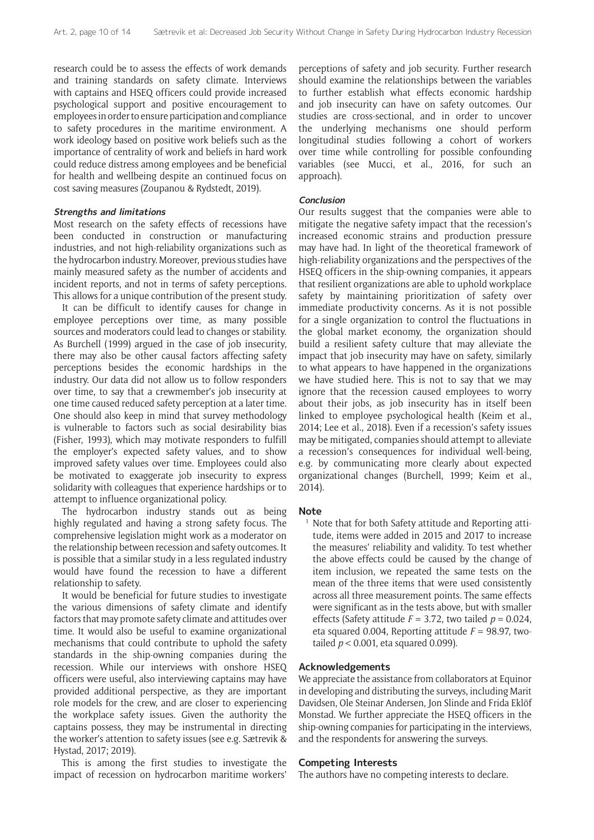research could be to assess the effects of work demands and training standards on safety climate. Interviews with captains and HSEQ officers could provide increased psychological support and positive encouragement to employees in order to ensure participation and compliance to safety procedures in the maritime environment. A work ideology based on positive work beliefs such as the importance of centrality of work and beliefs in hard work could reduce distress among employees and be beneficial for health and wellbeing despite an continued focus on cost saving measures (Zoupanou & Rydstedt, 2019).

#### **Strengths and limitations**

Most research on the safety effects of recessions have been conducted in construction or manufacturing industries, and not high-reliability organizations such as the hydrocarbon industry. Moreover, previous studies have mainly measured safety as the number of accidents and incident reports, and not in terms of safety perceptions. This allows for a unique contribution of the present study.

It can be difficult to identify causes for change in employee perceptions over time, as many possible sources and moderators could lead to changes or stability. As Burchell (1999) argued in the case of job insecurity, there may also be other causal factors affecting safety perceptions besides the economic hardships in the industry. Our data did not allow us to follow responders over time, to say that a crewmember's job insecurity at one time caused reduced safety perception at a later time. One should also keep in mind that survey methodology is vulnerable to factors such as social desirability bias (Fisher, 1993), which may motivate responders to fulfill the employer's expected safety values, and to show improved safety values over time. Employees could also be motivated to exaggerate job insecurity to express solidarity with colleagues that experience hardships or to attempt to influence organizational policy.

The hydrocarbon industry stands out as being highly regulated and having a strong safety focus. The comprehensive legislation might work as a moderator on the relationship between recession and safety outcomes. It is possible that a similar study in a less regulated industry would have found the recession to have a different relationship to safety.

It would be beneficial for future studies to investigate the various dimensions of safety climate and identify factors that may promote safety climate and attitudes over time. It would also be useful to examine organizational mechanisms that could contribute to uphold the safety standards in the ship-owning companies during the recession. While our interviews with onshore HSEQ officers were useful, also interviewing captains may have provided additional perspective, as they are important role models for the crew, and are closer to experiencing the workplace safety issues. Given the authority the captains possess, they may be instrumental in directing the worker's attention to safety issues (see e.g. Sætrevik & Hystad, 2017; 2019).

This is among the first studies to investigate the impact of recession on hydrocarbon maritime workers'

perceptions of safety and job security. Further research should examine the relationships between the variables to further establish what effects economic hardship and job insecurity can have on safety outcomes. Our studies are cross-sectional, and in order to uncover the underlying mechanisms one should perform longitudinal studies following a cohort of workers over time while controlling for possible confounding variables (see Mucci, et al., 2016, for such an approach).

#### **Conclusion**

Our results suggest that the companies were able to mitigate the negative safety impact that the recession's increased economic strains and production pressure may have had. In light of the theoretical framework of high-reliability organizations and the perspectives of the HSEQ officers in the ship-owning companies, it appears that resilient organizations are able to uphold workplace safety by maintaining prioritization of safety over immediate productivity concerns. As it is not possible for a single organization to control the fluctuations in the global market economy, the organization should build a resilient safety culture that may alleviate the impact that job insecurity may have on safety, similarly to what appears to have happened in the organizations we have studied here. This is not to say that we may ignore that the recession caused employees to worry about their jobs, as job insecurity has in itself been linked to employee psychological health (Keim et al., 2014; Lee et al., 2018). Even if a recession's safety issues may be mitigated, companies should attempt to alleviate a recession's consequences for individual well-being, e.g. by communicating more clearly about expected organizational changes (Burchell, 1999; Keim et al., 2014).

#### **Note**

<sup>1</sup> Note that for both Safety attitude and Reporting attitude, items were added in 2015 and 2017 to increase the measures' reliability and validity. To test whether the above effects could be caused by the change of item inclusion, we repeated the same tests on the mean of the three items that were used consistently across all three measurement points. The same effects were significant as in the tests above, but with smaller effects (Safety attitude  $F = 3.72$ , two tailed  $p = 0.024$ . eta squared 0.004, Reporting attitude  $F = 98.97$ , twotailed *p* < 0.001, eta squared 0.099).

#### **Acknowledgements**

We appreciate the assistance from collaborators at Equinor in developing and distributing the surveys, including Marit Davidsen, Ole Steinar Andersen, Jon Slinde and Frida Eklöf Monstad. We further appreciate the HSEQ officers in the ship-owning companies for participating in the interviews, and the respondents for answering the surveys.

#### **Competing Interests**

The authors have no competing interests to declare.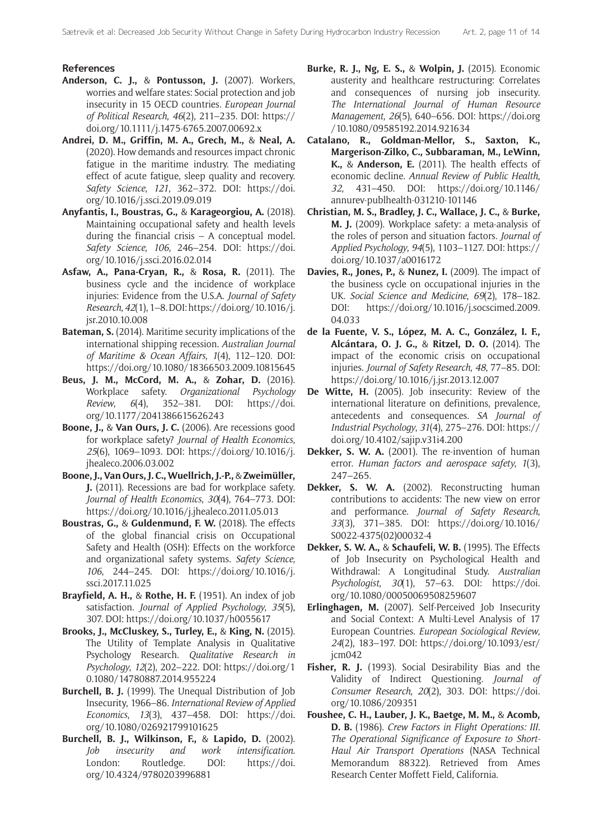### **References**

- **Anderson, C. J.,** & **Pontusson, J.** (2007). Workers, worries and welfare states: Social protection and job insecurity in 15 OECD countries. *European Journal of Political Research*, *46*(2), 211–235. DOI: [https://](https://doi.org/10.1111/j.1475-6765.2007.00692.x) [doi.org/10.1111/j.1475-6765.2007.00692.x](https://doi.org/10.1111/j.1475-6765.2007.00692.x)
- **Andrei, D. M., Griffin, M. A., Grech, M.,** & **Neal, A.** (2020). How demands and resources impact chronic fatigue in the maritime industry. The mediating effect of acute fatigue, sleep quality and recovery. *Safety Science*, *121*, 362–372. DOI: [https://doi.](https://doi.org/10.1016/j.ssci.2019.09.019) [org/10.1016/j.ssci.2019.09.019](https://doi.org/10.1016/j.ssci.2019.09.019)
- **Anyfantis, I., Boustras, G.,** & **Karageorgiou, A.** (2018). Maintaining occupational safety and health levels during the financial crisis – A conceptual model. *Safety Science*, *106*, 246–254. DOI: [https://doi.](https://doi.org/10.1016/j.ssci.2016.02.014) [org/10.1016/j.ssci.2016.02.014](https://doi.org/10.1016/j.ssci.2016.02.014)
- **Asfaw, A., Pana-Cryan, R.,** & **Rosa, R.** (2011). The business cycle and the incidence of workplace injuries: Evidence from the U.S.A. *Journal of Safety Research*, *42*(1), 1–8. DOI: [https://doi.org/10.1016/j.](https://doi.org/10.1016/j.jsr.2010.10.008) [jsr.2010.10.008](https://doi.org/10.1016/j.jsr.2010.10.008)
- **Bateman, S.** (2014). Maritime security implications of the international shipping recession. *Australian Journal of Maritime & Ocean Affairs*, *1*(4), 112–120. DOI: <https://doi.org/10.1080/18366503.2009.10815645>
- **Beus, J. M., McCord, M. A.,** & **Zohar, D.** (2016). Workplace safety. *Organizational Psychology Review*, *6*(4), 352–381. DOI: [https://doi.](https://doi.org/10.1177/2041386615626243) [org/10.1177/2041386615626243](https://doi.org/10.1177/2041386615626243)
- **Boone, J.,** & **Van Ours, J. C.** (2006). Are recessions good for workplace safety? *Journal of Health Economics*, *25*(6), 1069–1093. DOI: [https://doi.org/10.1016/j.](https://doi.org/10.1016/j.jhealeco.2006.03.002) [jhealeco.2006.03.002](https://doi.org/10.1016/j.jhealeco.2006.03.002)
- **Boone, J., Van Ours, J. C., Wuellrich, J.-P.,** & **Zweimüller, J.** (2011). Recessions are bad for workplace safety. *Journal of Health Economics*, *30*(4), 764–773. DOI: <https://doi.org/10.1016/j.jhealeco.2011.05.013>
- **Boustras, G.,** & **Guldenmund, F. W.** (2018). The effects of the global financial crisis on Occupational Safety and Health (OSH): Effects on the workforce and organizational safety systems. *Safety Science*, *106*, 244–245. DOI: [https://doi.org/10.1016/j.](https://doi.org/10.1016/j.ssci.2017.11.025) [ssci.2017.11.025](https://doi.org/10.1016/j.ssci.2017.11.025)
- **Brayfield, A. H.,** & **Rothe, H. F.** (1951). An index of job satisfaction. *Journal of Applied Psychology*, *35*(5), 307. DOI:<https://doi.org/10.1037/h0055617>
- **Brooks, J., McCluskey, S., Turley, E.,** & **King, N.** (2015). The Utility of Template Analysis in Qualitative Psychology Research. *Qualitative Research in Psychology*, *12*(2), 202–222. DOI: [https://doi.org/1](https://doi.org/10.1080/14780887.2014.955224) [0.1080/14780887.2014.955224](https://doi.org/10.1080/14780887.2014.955224)
- **Burchell, B. J.** (1999). The Unequal Distribution of Job Insecurity, 1966–86. *International Review of Applied Economics*, *13*(3), 437–458. DOI: [https://doi.](https://doi.org/10.1080/026921799101625) [org/10.1080/026921799101625](https://doi.org/10.1080/026921799101625)
- **Burchell, B. J., Wilkinson, F.,** & **Lapido, D.** (2002). *Job insecurity and work intensification*. London: Routledge. DOI: [https://doi.](https://doi.org/10.4324/9780203996881) [org/10.4324/9780203996881](https://doi.org/10.4324/9780203996881)
- **Burke, R. J., Ng, E. S.,** & **Wolpin, J.** (2015). Economic austerity and healthcare restructuring: Correlates and consequences of nursing job insecurity. *The International Journal of Human Resource Management*, *26*(5), 640–656. DOI: [https://doi.org](https://doi.org/10.1080/09585192.2014.921634) [/10.1080/09585192.2014.921634](https://doi.org/10.1080/09585192.2014.921634)
- **Catalano, R., Goldman-Mellor, S., Saxton, K., Margerison-Zilko, C., Subbaraman, M., LeWinn, K.,** & **Anderson, E.** (2011). The health effects of economic decline. *Annual Review of Public Health*, *32*, 431–450. DOI: [https://doi.org/10.1146/](https://doi.org/10.1146/annurev-publhealth-031210-101146) [annurev-publhealth-031210-101146](https://doi.org/10.1146/annurev-publhealth-031210-101146)
- **Christian, M. S., Bradley, J. C., Wallace, J. C.,** & **Burke, M. J.** (2009). Workplace safety: a meta-analysis of the roles of person and situation factors. *Journal of Applied Psychology*, *94*(5), 1103–1127. DOI: [https://](https://doi.org/10.1037/a0016172) [doi.org/10.1037/a0016172](https://doi.org/10.1037/a0016172)
- **Davies, R., Jones, P.,** & **Nunez, I.** (2009). The impact of the business cycle on occupational injuries in the UK. *Social Science and Medicine*, *69*(2), 178–182. DOI: [https://doi.org/10.1016/j.socscimed.2009.](https://doi.org/10.1016/j.socscimed.2009.04.033) [04.033](https://doi.org/10.1016/j.socscimed.2009.04.033)
- **de la Fuente, V. S., López, M. A. C., González, I. F., Alcántara, O. J. G.,** & **Ritzel, D. O.** (2014). The impact of the economic crisis on occupational injuries. *Journal of Safety Research*, *48*, 77–85. DOI: <https://doi.org/10.1016/j.jsr.2013.12.007>
- **De Witte, H.** (2005). Job insecurity: Review of the international literature on definitions, prevalence, antecedents and consequences. *SA Journal of Industrial Psychology*, *31*(4), 275–276. DOI: [https://](https://doi.org/10.4102/sajip.v31i4.200) [doi.org/10.4102/sajip.v31i4.200](https://doi.org/10.4102/sajip.v31i4.200)
- **Dekker, S. W. A.** (2001). The re-invention of human error. *Human factors and aerospace safety*, *1*(3), 247–265.
- **Dekker, S. W. A.** (2002). Reconstructing human contributions to accidents: The new view on error and performance. *Journal of Safety Research*, *33*(3), 371–385. DOI: [https://doi.org/10.1016/](https://doi.org/10.1016/S0022-4375(02)00032-4) [S0022-4375\(02\)00032-4](https://doi.org/10.1016/S0022-4375(02)00032-4)
- **Dekker, S. W. A.,** & **Schaufeli, W. B.** (1995). The Effects of Job Insecurity on Psychological Health and Withdrawal: A Longitudinal Study. *Australian Psychologist*, *30*(1), 57–63. DOI: [https://doi.](https://doi.org/10.1080/00050069508259607) [org/10.1080/00050069508259607](https://doi.org/10.1080/00050069508259607)
- **Erlinghagen, M.** (2007). Self-Perceived Job Insecurity and Social Context: A Multi-Level Analysis of 17 European Countries. *European Sociological Review*, *24*(2), 183–197. DOI: [https://doi.org/10.1093/esr/](https://doi.org/10.1093/esr/jcm042) [jcm042](https://doi.org/10.1093/esr/jcm042)
- **Fisher, R. J.** (1993). Social Desirability Bias and the Validity of Indirect Questioning. *Journal of Consumer Research*, *20*(2), 303. DOI: [https://doi.](https://doi.org/10.1086/209351) [org/10.1086/209351](https://doi.org/10.1086/209351)
- **Foushee, C. H., Lauber, J. K., Baetge, M. M.,** & **Acomb, D. B.** (1986). *Crew Factors in Flight Operations: III. The Operational Significance of Exposure to Short-Haul Air Transport Operations* (NASA Technical Memorandum 88322). Retrieved from Ames Research Center Moffett Field, California.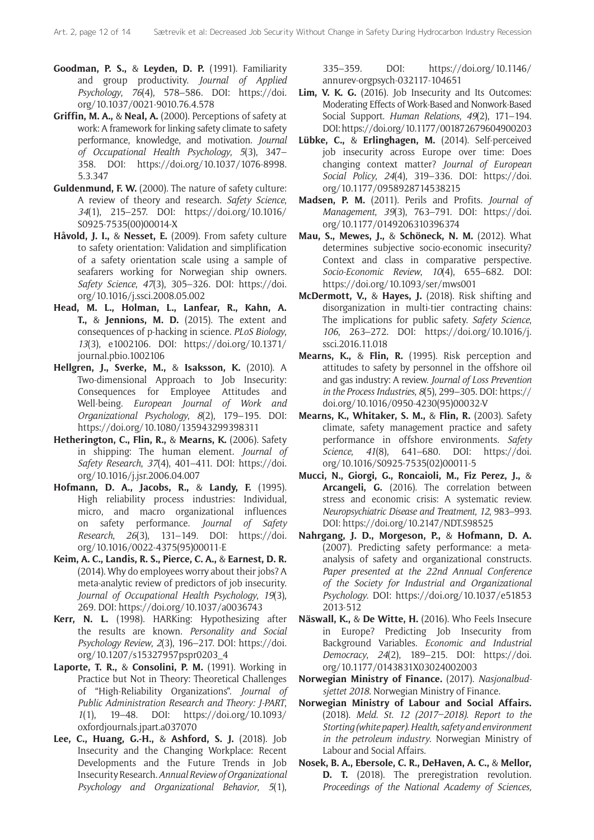- **Goodman, P. S.,** & **Leyden, D. P.** (1991). Familiarity and group productivity. *Journal of Applied Psychology*, *76*(4), 578–586. DOI: [https://doi.](https://doi.org/10.1037/0021-9010.76.4.578) [org/10.1037/0021-9010.76.4.578](https://doi.org/10.1037/0021-9010.76.4.578)
- **Griffin, M. A.,** & **Neal, A.** (2000). Perceptions of safety at work: A framework for linking safety climate to safety performance, knowledge, and motivation. *Journal of Occupational Health Psychology*, *5*(3), 347– 358. DOI: [https://doi.org/10.1037/1076-8998.](https://doi.org/10.1037/1076-8998.5.3.347) [5.3.347](https://doi.org/10.1037/1076-8998.5.3.347)
- **Guldenmund, F. W.** (2000). The nature of safety culture: A review of theory and research. *Safety Science*, *34*(1), 215–257. DOI: [https://doi.org/10.1016/](https://doi.org/10.1016/S0925-7535(00)00014-X) [S0925-7535\(00\)00014-X](https://doi.org/10.1016/S0925-7535(00)00014-X)
- **Håvold, J. I.,** & **Nesset, E.** (2009). From safety culture to safety orientation: Validation and simplification of a safety orientation scale using a sample of seafarers working for Norwegian ship owners. *Safety Science*, *47*(3), 305–326. DOI: [https://doi.](https://doi.org/10.1016/j.ssci.2008.05.002) [org/10.1016/j.ssci.2008.05.002](https://doi.org/10.1016/j.ssci.2008.05.002)
- **Head, M. L., Holman, L., Lanfear, R., Kahn, A. T.,** & **Jennions, M. D.** (2015). The extent and consequences of p-hacking in science. *PLoS Biology*, *13*(3), e1002106. DOI: [https://doi.org/10.1371/](https://doi.org/10.1371/journal.pbio.1002106) [journal.pbio.1002106](https://doi.org/10.1371/journal.pbio.1002106)
- **Hellgren, J., Sverke, M.,** & **Isaksson, K.** (2010). A Two-dimensional Approach to Job Insecurity: Consequences for Employee Attitudes and Well-being. *European Journal of Work and Organizational Psychology*, *8*(2), 179–195. DOI: <https://doi.org/10.1080/135943299398311>
- **Hetherington, C., Flin, R.,** & **Mearns, K.** (2006). Safety in shipping: The human element. *Journal of Safety Research*, *37*(4), 401–411. DOI: [https://doi.](https://doi.org/10.1016/j.jsr.2006.04.007) [org/10.1016/j.jsr.2006.04.007](https://doi.org/10.1016/j.jsr.2006.04.007)
- **Hofmann, D. A., Jacobs, R.,** & **Landy, F.** (1995). High reliability process industries: Individual, micro, and macro organizational influences on safety performance. *Journal of Safety Research*, *26*(3), 131–149. DOI: [https://doi.](https://doi.org/10.1016/0022-4375(95)00011-E) [org/10.1016/0022-4375\(95\)00011-E](https://doi.org/10.1016/0022-4375(95)00011-E)
- **Keim, A. C., Landis, R. S., Pierce, C. A.,** & **Earnest, D. R.** (2014). Why do employees worry about their jobs? A meta-analytic review of predictors of job insecurity. *Journal of Occupational Health Psychology*, *19*(3), 269. DOI: <https://doi.org/10.1037/a0036743>
- **Kerr, N. L.** (1998). HARKing: Hypothesizing after the results are known. *Personality and Social Psychology Review*, *2*(3), 196–217. DOI: [https://doi.](https://doi.org/10.1207/s15327957pspr0203_4) [org/10.1207/s15327957pspr0203\\_4](https://doi.org/10.1207/s15327957pspr0203_4)
- **Laporte, T. R.,** & **Consolini, P. M.** (1991). Working in Practice but Not in Theory: Theoretical Challenges of "High-Reliability Organizations". *Journal of Public Administration Research and Theory: J-PART*, *1*(1), 19–48. DOI: [https://doi.org/10.1093/](https://doi.org/10.1093/oxfordjournals.jpart.a037070) [oxfordjournals.jpart.a037070](https://doi.org/10.1093/oxfordjournals.jpart.a037070)
- **Lee, C., Huang, G.-H.,** & **Ashford, S. J.** (2018). Job Insecurity and the Changing Workplace: Recent Developments and the Future Trends in Job Insecurity Research. *Annual Review of Organizational Psychology and Organizational Behavior*, *5*(1),

335–359. DOI: [https://doi.org/10.1146/](https://doi.org/10.1146/annurev-orgpsych-032117-104651) [annurev-orgpsych-032117-104651](https://doi.org/10.1146/annurev-orgpsych-032117-104651)

- **Lim, V. K. G.** (2016). Job Insecurity and Its Outcomes: Moderating Effects of Work-Based and Nonwork-Based Social Support. *Human Relations*, *49*(2), 171–194. DOI:<https://doi.org/10.1177/001872679604900203>
- **Lübke, C.,** & **Erlinghagen, M.** (2014). Self-perceived job insecurity across Europe over time: Does changing context matter? *Journal of European Social Policy*, *24*(4), 319–336. DOI: [https://doi.](https://doi.org/10.1177/0958928714538215) [org/10.1177/0958928714538215](https://doi.org/10.1177/0958928714538215)
- **Madsen, P. M.** (2011). Perils and Profits. *Journal of Management*, *39*(3), 763–791. DOI: [https://doi.](https://doi.org/10.1177/0149206310396374) [org/10.1177/0149206310396374](https://doi.org/10.1177/0149206310396374)
- **Mau, S., Mewes, J.,** & **Schöneck, N. M.** (2012). What determines subjective socio-economic insecurity? Context and class in comparative perspective. *Socio-Economic Review*, *10*(4), 655–682. DOI: <https://doi.org/10.1093/ser/mws001>
- **McDermott, V.,** & **Hayes, J.** (2018). Risk shifting and disorganization in multi-tier contracting chains: The implications for public safety. *Safety Science*, *106*, 263–272. DOI: [https://doi.org/10.1016/j.](https://doi.org/10.1016/j.ssci.2016.11.018) [ssci.2016.11.018](https://doi.org/10.1016/j.ssci.2016.11.018)
- **Mearns, K.,** & **Flin, R.** (1995). Risk perception and attitudes to safety by personnel in the offshore oil and gas industry: A review. *Journal of Loss Prevention in the Process Industries*, *8*(5), 299–305. DOI: [https://](https://doi.org/10.1016/0950-4230(95)00032-V) [doi.org/10.1016/0950-4230\(95\)00032-V](https://doi.org/10.1016/0950-4230(95)00032-V)
- **Mearns, K., Whitaker, S. M.,** & **Flin, R.** (2003). Safety climate, safety management practice and safety performance in offshore environments. *Safety Science*, *41*(8), 641–680. DOI: [https://doi.](https://doi.org/10.1016/S0925-7535(02)00011-5) [org/10.1016/S0925-7535\(02\)00011-5](https://doi.org/10.1016/S0925-7535(02)00011-5)
- **Mucci, N., Giorgi, G., Roncaioli, M., Fiz Perez, J.,** & **Arcangeli, G.** (2016). The correlation between stress and economic crisis: A systematic review. *Neuropsychiatric Disease and Treatment*, *12*, 983–993. DOI: <https://doi.org/10.2147/NDT.S98525>
- **Nahrgang, J. D., Morgeson, P.,** & **Hofmann, D. A.** (2007). Predicting safety performance: a metaanalysis of safety and organizational constructs. *Paper presented at the 22nd Annual Conference of the Society for Industrial and Organizational Psychology*. DOI: [https://doi.org/10.1037/e51853](https://doi.org/10.1037/e518532013-512) [2013-512](https://doi.org/10.1037/e518532013-512)
- **Näswall, K.,** & **De Witte, H.** (2016). Who Feels Insecure in Europe? Predicting Job Insecurity from Background Variables. *Economic and Industrial Democracy*, *24*(2), 189–215. DOI: [https://doi.](https://doi.org/10.1177/0143831X03024002003) [org/10.1177/0143831X03024002003](https://doi.org/10.1177/0143831X03024002003)
- **Norwegian Ministry of Finance.** (2017). *Nasjonalbudsjettet 2018*. Norwegian Ministry of Finance.
- **Norwegian Ministry of Labour and Social Affairs.** (2018). *Meld. St. 12 (2017–2018)*. *Report to the Storting (white paper). Health, safety and environment in the petroleum industry*. Norwegian Ministry of Labour and Social Affairs.
- **Nosek, B. A., Ebersole, C. R., DeHaven, A. C.,** & **Mellor, D. T.** (2018). The preregistration revolution. *Proceedings of the National Academy of Sciences,*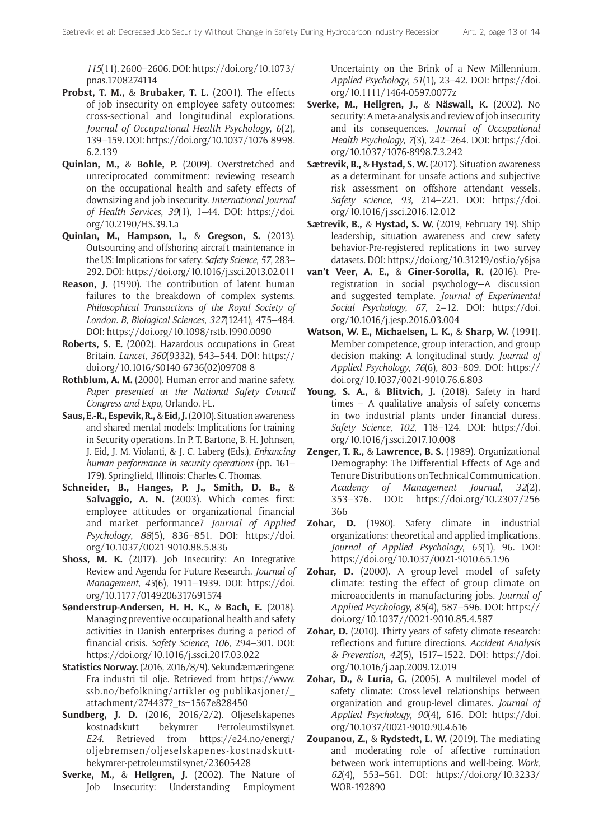*115*(11), 2600–2606. DOI: [https://doi.org/10.1073/](https://doi.org/10.1073/pnas.1708274114) [pnas.1708274114](https://doi.org/10.1073/pnas.1708274114)

- **Probst, T. M.,** & **Brubaker, T. L.** (2001). The effects of job insecurity on employee safety outcomes: cross-sectional and longitudinal explorations. *Journal of Occupational Health Psychology*, *6*(2), 139–159. DOI: [https://doi.org/10.1037/1076-8998.](https://doi.org/10.1037/1076-8998.6.2.139) [6.2.139](https://doi.org/10.1037/1076-8998.6.2.139)
- **Quinlan, M.,** & **Bohle, P.** (2009). Overstretched and unreciprocated commitment: reviewing research on the occupational health and safety effects of downsizing and job insecurity. *International Journal of Health Services*, *39*(1), 1–44. DOI: [https://doi.](https://doi.org/10.2190/HS.39.1.a) [org/10.2190/HS.39.1.a](https://doi.org/10.2190/HS.39.1.a)
- **Quinlan, M., Hampson, I.,** & **Gregson, S.** (2013). Outsourcing and offshoring aircraft maintenance in the US: Implications for safety. *Safety Science*, *57*, 283– 292. DOI:<https://doi.org/10.1016/j.ssci.2013.02.011>
- **Reason, J.** (1990). The contribution of latent human failures to the breakdown of complex systems. *Philosophical Transactions of the Royal Society of London. B, Biological Sciences*, *327*(1241), 475–484. DOI:<https://doi.org/10.1098/rstb.1990.0090>
- **Roberts, S. E.** (2002). Hazardous occupations in Great Britain. *Lancet*, *360*(9332), 543–544. DOI: [https://](https://doi.org/10.1016/S0140-6736(02)09708-8) [doi.org/10.1016/S0140-6736\(02\)09708-8](https://doi.org/10.1016/S0140-6736(02)09708-8)
- **Rothblum, A. M.** (2000). Human error and marine safety. *Paper presented at the National Safety Council Congress and Expo*, Orlando, FL.
- **Saus, E.-R., Espevik, R.,** & **Eid, J.** (2010). Situation awareness and shared mental models: Implications for training in Security operations. In P. T. Bartone, B. H. Johnsen, J. Eid, J. M. Violanti, & J. C. Laberg (Eds.), *Enhancing human performance in security operations* (pp. 161– 179). Springfield, Illinois: Charles C. Thomas.
- **Schneider, B., Hanges, P. J., Smith, D. B.,** & **Salvaggio, A. N.** (2003). Which comes first: employee attitudes or organizational financial and market performance? *Journal of Applied Psychology*, *88*(5), 836–851. DOI: [https://doi.](https://doi.org/10.1037/0021-9010.88.5.836) [org/10.1037/0021-9010.88.5.836](https://doi.org/10.1037/0021-9010.88.5.836)
- **Shoss, M. K.** (2017). Job Insecurity: An Integrative Review and Agenda for Future Research. *Journal of Management*, *43*(6), 1911–1939. DOI: [https://doi.](https://doi.org/10.1177/0149206317691574) [org/10.1177/0149206317691574](https://doi.org/10.1177/0149206317691574)
- **Sønderstrup-Andersen, H. H. K.,** & **Bach, E.** (2018). Managing preventive occupational health and safety activities in Danish enterprises during a period of financial crisis. *Safety Science*, *106*, 294–301. DOI: <https://doi.org/10.1016/j.ssci.2017.03.022>
- **Statistics Norway.** (2016, 2016/8/9). Sekundærnæringene: Fra industri til olje. Retrieved from [https://www.](https://www.ssb.no/befolkning/artikler-og-publikasjoner/_attachment/274437?_ts=1567e828450) [ssb.no/befolkning/artikler-og-publikasjoner/\\_](https://www.ssb.no/befolkning/artikler-og-publikasjoner/_attachment/274437?_ts=1567e828450) [attachment/274437?\\_ts=1567e828450](https://www.ssb.no/befolkning/artikler-og-publikasjoner/_attachment/274437?_ts=1567e828450)
- **Sundberg, J. D.** (2016, 2016/2/2). Oljeselskapenes kostnadskutt bekymrer Petroleumstilsynet. *E24*. Retrieved from [https://e24.no/energi/](https://e24.no/energi/oljebremsen/oljeselskapenes-kostnadskutt-bekymrer-petroleumstilsynet/23605428) [oljebremsen/oljeselskapenes-kostnadskutt](https://e24.no/energi/oljebremsen/oljeselskapenes-kostnadskutt-bekymrer-petroleumstilsynet/23605428)[bekymrer-petroleumstilsynet/23605428](https://e24.no/energi/oljebremsen/oljeselskapenes-kostnadskutt-bekymrer-petroleumstilsynet/23605428)
- **Sverke, M.,** & **Hellgren, J.** (2002). The Nature of Job Insecurity: Understanding Employment

Uncertainty on the Brink of a New Millennium. *Applied Psychology*, *51*(1), 23–42. DOI: [https://doi.](https://doi.org/10.1111/1464-0597.0077z) [org/10.1111/1464-0597.0077z](https://doi.org/10.1111/1464-0597.0077z)

- **Sverke, M., Hellgren, J.,** & **Näswall, K.** (2002). No security: A meta-analysis and review of job insecurity and its consequences. *Journal of Occupational Health Psychology*, *7*(3), 242–264. DOI: [https://doi.](https://doi.org/10.1037/1076-8998.7.3.242) [org/10.1037/1076-8998.7.3.242](https://doi.org/10.1037/1076-8998.7.3.242)
- **Sætrevik, B.,** & **Hystad, S. W.** (2017). Situation awareness as a determinant for unsafe actions and subjective risk assessment on offshore attendant vessels. *Safety science*, *93*, 214–221. DOI: [https://doi.](https://doi.org/10.1016/j.ssci.2016.12.012) [org/10.1016/j.ssci.2016.12.012](https://doi.org/10.1016/j.ssci.2016.12.012)
- **Sætrevik, B.,** & **Hystad, S. W.** (2019, February 19). Ship leadership, situation awareness and crew safety behavior-Pre-registered replications in two survey datasets. DOI:<https://doi.org/10.31219/osf.io/y6jsa>
- **van't Veer, A. E.,** & **Giner-Sorolla, R.** (2016). Preregistration in social psychology—A discussion and suggested template. *Journal of Experimental Social Psychology*, *67*, 2–12. DOI: [https://doi.](https://doi.org/10.1016/j.jesp.2016.03.004 ) [org/10.1016/j.jesp.2016.03.004](https://doi.org/10.1016/j.jesp.2016.03.004 )
- **Watson, W. E., Michaelsen, L. K.,** & **Sharp, W.** (1991). Member competence, group interaction, and group decision making: A longitudinal study. *Journal of Applied Psychology*, *76*(6), 803–809. DOI: [https://](https://doi.org/10.1037/0021-9010.76.6.803) [doi.org/10.1037/0021-9010.76.6.803](https://doi.org/10.1037/0021-9010.76.6.803)
- **Young, S. A.,** & **Blitvich, J.** (2018). Safety in hard times – A qualitative analysis of safety concerns in two industrial plants under financial duress. *Safety Science*, *102*, 118–124. DOI: [https://doi.](https://doi.org/10.1016/j.ssci.2017.10.008) [org/10.1016/j.ssci.2017.10.008](https://doi.org/10.1016/j.ssci.2017.10.008)
- **Zenger, T. R.,** & **Lawrence, B. S.** (1989). Organizational Demography: The Differential Effects of Age and Tenure Distributions on Technical Communication. *Academy of Management Journal*, *32*(2), 353–376. DOI: [https://doi.org/10.2307/256](https://doi.org/10.2307/256366) [366](https://doi.org/10.2307/256366)
- **Zohar, D.** (1980). Safety climate in industrial organizations: theoretical and applied implications. *Journal of Applied Psychology*, *65*(1), 96. DOI: <https://doi.org/10.1037/0021-9010.65.1.96>
- **Zohar, D.** (2000). A group-level model of safety climate: testing the effect of group climate on microaccidents in manufacturing jobs. *Journal of Applied Psychology*, *85*(4), 587–596. DOI: [https://](https://doi.org/10.1037//0021-9010.85.4.587) [doi.org/10.1037//0021-9010.85.4.587](https://doi.org/10.1037//0021-9010.85.4.587)
- **Zohar, D.** (2010). Thirty years of safety climate research: reflections and future directions. *Accident Analysis & Prevention*, *42*(5), 1517–1522. DOI: [https://doi.](https://doi.org/10.1016/j.aap.2009.12.019) [org/10.1016/j.aap.2009.12.019](https://doi.org/10.1016/j.aap.2009.12.019)
- **Zohar, D.,** & **Luria, G.** (2005). A multilevel model of safety climate: Cross-level relationships between organization and group-level climates. *Journal of Applied Psychology*, *90*(4), 616. DOI: [https://doi.](https://doi.org/10.1037/0021-9010.90.4.616) [org/10.1037/0021-9010.90.4.616](https://doi.org/10.1037/0021-9010.90.4.616)
- **Zoupanou, Z.,** & **Rydstedt, L. W.** (2019). The mediating and moderating role of affective rumination between work interruptions and well-being. *Work*, *62*(4), 553–561. DOI: [https://doi.org/10.3233/](https://doi.org/10.3233/WOR-192890) [WOR-192890](https://doi.org/10.3233/WOR-192890)